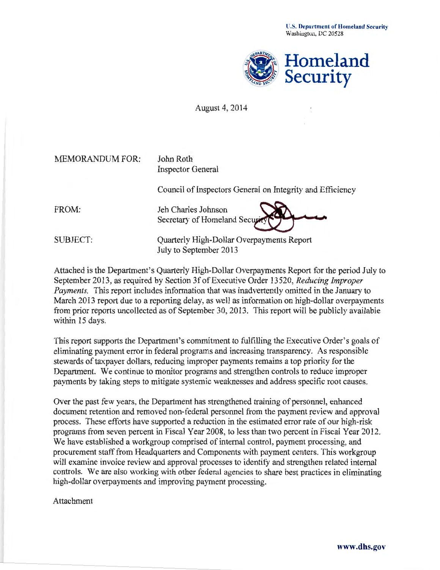U.S. Department of Homeland Security Washington, DC 20528



August 4, 2014

| <b>MEMORANDUM FOR:</b> | John Roth<br><b>Inspector General</b>                     |
|------------------------|-----------------------------------------------------------|
|                        | Council of Inspectors General on Integrity and Efficiency |
| FROM:                  | Jeh Charles Johnson<br>Secretary of Homeland Security     |
| <b>SUBJECT:</b>        | Quarterly High-Dollar Overpayments Report                 |

July to September 2013

Attached is the Department's Quarterly High-Dollar Overpayments Report for the period July to September 2013, as required by Section 3f of Executive Order 13520, *Reducing Improper Payments.* This report includes information that was inadvertently omitted in the January to March 2013 report due to a reporting delay, as well as information on high-dollar overpayments from prior reports uncollected as of September 30, 2013. This report will be publicly available within 15 days.

This report supports the Department's commitment to fulfilling the Executive Order's goals of eliminating payment error in federal programs and increasing transparency. As responsible stewards of taxpayer dollars, reducing improper payments remains a top priority for the Department. We continue to monitor programs and strengthen controls to reduce improper payments by taking steps to mitigate systemic weaknesses and address specific root causes.

Over the past few years, the Department has strengthened training of personnel, enhanced document retention and removed non-federal personnel from the payment review and approval process. These efforts have supported a reduction in the estimated error rate of our high-risk programs from seven percent in Fiscal Year 2008, to less than two percent in Fiscal Year 2012. We have established a workgroup comprised of internal control, payment processing, and procurement staff from Headquarters and Components with payment centers. This workgroup will examine invoice review and approval processes to identify and strengthen related internal controls. We are also working with other federal agencies to share best practices in eliminating high-dollar overpayments and improving payment processing.

Attachment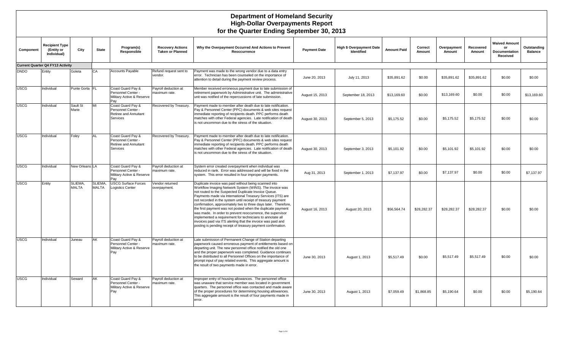#### **Department of Homeland Security High-Dollar Overpayments Report for the Quarter Ending September 30, 2013**

| Component   | <b>Recipient Type</b><br>(Entity or<br>Individual) | City              | <b>State</b>            | Program(s)<br>Responsible                                                    | <b>Recovery Actions</b><br><b>Taken or Planned</b> | Why the Overpayment Occurred And Actions to Prevent<br>Reoccurrence                                                                                                                                                                                                                                                                                                                                                                                                                                                                                                                                                                                                                                  | <b>Payment Date</b> | High \$ Overpayment Date<br><b>Identified</b> | <b>Amount Paid</b> | Correct<br>Amount | Overpayment<br>Amount | Recovered<br>Amount | <b>Waived Amount</b><br>or<br>Documentation<br>Received | Outstanding<br><b>Balance</b> |
|-------------|----------------------------------------------------|-------------------|-------------------------|------------------------------------------------------------------------------|----------------------------------------------------|------------------------------------------------------------------------------------------------------------------------------------------------------------------------------------------------------------------------------------------------------------------------------------------------------------------------------------------------------------------------------------------------------------------------------------------------------------------------------------------------------------------------------------------------------------------------------------------------------------------------------------------------------------------------------------------------------|---------------------|-----------------------------------------------|--------------------|-------------------|-----------------------|---------------------|---------------------------------------------------------|-------------------------------|
|             | <b>Current Quarter Q4 FY13 Activity</b>            |                   |                         |                                                                              |                                                    |                                                                                                                                                                                                                                                                                                                                                                                                                                                                                                                                                                                                                                                                                                      |                     |                                               |                    |                   |                       |                     |                                                         |                               |
| <b>DNDO</b> | Entity                                             | Goleta            | CA                      | <b>Accounts Payable</b>                                                      | Refund request sent to<br>vendor.                  | Payment was made to the wrong vendor due to a data entry<br>error. Technician has been counseled on the importance of<br>attention to detail during the payment review process.                                                                                                                                                                                                                                                                                                                                                                                                                                                                                                                      | June 20, 2013       | July 11, 2013                                 | \$35,891.62        | \$0.00            | \$35,891.62           | \$35,891.62         | \$0.00                                                  | \$0.00                        |
| <b>USCG</b> | Individual                                         | Punte Gorta FL    |                         | Coast Guard Pay &<br>Personnel Center -<br>Military Active & Reserve<br>Pay  | Payroll deduction at<br>maximum rate.              | Member received erroneous payment due to late submission of<br>retirement paperwork by Administrative unit. The administrative<br>unit was notified of the repercussions of late submission.                                                                                                                                                                                                                                                                                                                                                                                                                                                                                                         | August 15, 2013     | September 18, 2013                            | \$13,169.60        | \$0.00            | \$13,169.60           | \$0.00              | \$0.00                                                  | \$13,169.60                   |
| <b>USCG</b> | Individual                                         | Sault St<br>Marie | MI                      | Coast Guard Pay &<br>Personnel Center<br>Retiree and Annuitant<br>Services   | Recovered by Treasury.                             | Payment made to member after death due to late notification.<br>Pay & Personnel Center (PPC) documents & web sites request<br>immediate reporting of recipients death. PPC performs death<br>matches with other Federal agencies. Late notification of death<br>is not uncommon due to the stress of the situation.                                                                                                                                                                                                                                                                                                                                                                                  | August 30, 2013     | September 5, 2013                             | \$5,175.52         | \$0.00            | \$5,175.52            | \$5,175.52          | \$0.00                                                  | \$0.00                        |
| <b>USCG</b> | Individual                                         | Foley             | AL                      | Coast Guard Pay &<br>Personnel Center -<br>Retiree and Annuitant<br>Services | Recovered by Treasury.                             | Payment made to member after death due to late notification.<br>Pay & Personnel Center (PPC) documents & web sites request<br>immediate reporting of recipients death. PPC performs death<br>matches with other Federal agencies. Late notification of death<br>is not uncommon due to the stress of the situation.                                                                                                                                                                                                                                                                                                                                                                                  | August 30, 2013     | September 3, 2013                             | \$5,101.92         | \$0.00            | \$5,101.92            | \$5,101.92          | \$0.00                                                  | \$0.00                        |
| <b>USCG</b> | Individual                                         | New Orleans LA    |                         | Coast Guard Pay &<br>Personnel Center -<br>Military Active & Reserve<br>Pav  | Payroll deduction at<br>maximum rate.              | System error created overpayment when individual was<br>reduced in rank. Error was addressed and will be fixed in the<br>system. This error resulted in four improper payments.                                                                                                                                                                                                                                                                                                                                                                                                                                                                                                                      | Aug 31, 2013        | September 1, 2013                             | \$7,137.97         | \$0.00            | \$7,137.97            | \$0.00              | \$0.00                                                  | \$7,137.97                    |
| <b>USCG</b> | Entity                                             | SLIEMA.<br>MALTA  | SLIEMA.<br><b>MALTA</b> | <b>USCG Surface Forces</b><br><b>Logistics Center</b>                        | Vendor returned<br>overpayment.                    | Duplicate invoice was paid without being scanned into<br>Workflow Imaging Network System (WINS). The invoice was<br>not routed to the Suspected Duplicate Invoice Queue.<br>Payments made via International Treasury Services (ITS) are<br>not recorded in the system until receipt of treasury payment<br>confirmation, approximately two to three days later. Therefore,<br>the first payment was not posted when the duplicate payment<br>was made. In order to prevent reoccurrence, the supervisor<br>implemented a requirement for technicians to annotate all<br>invoices paid via ITS alerting that the invoice was paid and<br>posting is pending receipt of treasury payment confirmation. | August 16, 2013     | August 20, 2013                               | \$56,564.74        | \$28,282.37       | \$28,282.37           | \$28,282.37         | \$0.00                                                  | \$0.00                        |
| <b>USCG</b> | Individual                                         | Juneau            | AK                      | Coast Guard Pay &<br>Personnel Center -<br>Military Active & Reserve<br>Pay  | Payroll deduction at<br>maximum rate.              | Late submission of Permanent Change of Station departing<br>paperwork caused erroneous payment of entitlements based on<br>departing unit. The new personnel office notified the old one<br>and the proper paperwork was completed. Guidance continues<br>to be distributed to all Personnel Offices on the importance of<br>prompt input of pay related events. This aggregate amount is<br>the result of two payments made in error.                                                                                                                                                                                                                                                               | June 30, 2013       | August 1, 2013                                | \$5,517.49         | \$0.00            | \$5,517.49            | \$5,517.49          | \$0.00                                                  | \$0.00                        |
| <b>USCG</b> | Individual                                         | Seward            | AK                      | Coast Guard Pay &<br>Personnel Center -<br>Military Active & Reserve<br>Pay  | Payroll deduction at<br>maximum rate.              | Improper entry of housing allowances. The personnel office<br>was unaware that service member was located in government<br>quarters. The personnel office was contacted and made aware<br>of the proper procedures for determining housing allowances.<br>This aggregate amount is the result of four payments made in<br>error.                                                                                                                                                                                                                                                                                                                                                                     | June 30, 2013       | August 1, 2013                                | \$7,059.49         | \$1,868.85        | \$5,190.64            | \$0.00              | \$0.00                                                  | \$5,190.64                    |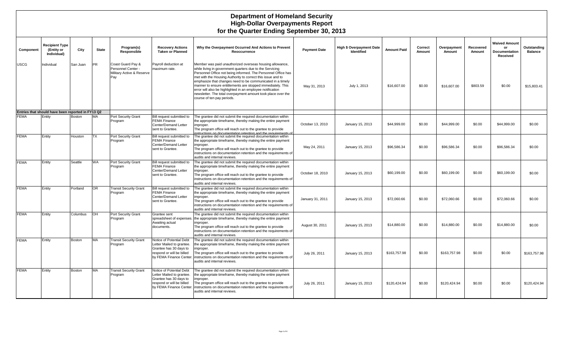#### **Department of Homeland Security High-Dollar Overpayments Report for the Quarter Ending September 30, 2013**

| Component   | <b>Recipient Type</b><br>(Entity or<br>Individual) | City          | <b>State</b> | Program(s)<br>Responsible                                                   | <b>Recovery Actions</b><br><b>Taken or Planned</b>                                                                                      | Why the Overpayment Occurred And Actions to Prevent<br>Reoccurrence                                                                                                                                                                                                                                                                                                                                                                                                                                                                           | <b>Payment Date</b> | High \$ Overpayment Date<br>Identified | <b>Amount Paid</b> | Correct<br>Amount | Overpayment<br>Amount | Recovered<br>Amount | <b>Waived Amount</b><br>or<br>Documentation<br>Received | Outstanding<br><b>Balance</b> |
|-------------|----------------------------------------------------|---------------|--------------|-----------------------------------------------------------------------------|-----------------------------------------------------------------------------------------------------------------------------------------|-----------------------------------------------------------------------------------------------------------------------------------------------------------------------------------------------------------------------------------------------------------------------------------------------------------------------------------------------------------------------------------------------------------------------------------------------------------------------------------------------------------------------------------------------|---------------------|----------------------------------------|--------------------|-------------------|-----------------------|---------------------|---------------------------------------------------------|-------------------------------|
| JSCG        | Individual                                         | San Juan      | <b>PR</b>    | Coast Guard Pay &<br>Personnel Center -<br>Military Active & Reserve<br>Pay | Payroll deduction at<br>maximum rate.                                                                                                   | Member was paid unauthorized overseas housing allowance,<br>while living in government quarters due to the Servicing<br>Personnel Office not being informed. The Personnel Office has<br>met with the Housing Authority to correct this issue and to<br>emphasize that changes need to be communicated in a timely<br>manner to ensure entitlements are stopped immediately. This<br>error will also be highlighted in an employee notification<br>newsletter. The total overpayment amount took place over the<br>course of ten pay periods. | May 31, 2013        | July 1, 2013                           | \$16,607.00        | \$0.00            | \$16,607.00           | \$803.59            | \$0.00                                                  | \$15,803.41                   |
|             | Entries that should have been reported in FY13 Q2  |               |              |                                                                             |                                                                                                                                         |                                                                                                                                                                                                                                                                                                                                                                                                                                                                                                                                               |                     |                                        |                    |                   |                       |                     |                                                         |                               |
| <b>EMA</b>  | Entity                                             | <b>Boston</b> | <b>MA</b>    | Port Security Grant<br>Program                                              | Bill request submitted to<br><b>FEMA Finance</b><br>Center/Demand Letter<br>sent to Grantee.                                            | The grantee did not submit the required documentation within<br>the appropriate timeframe, thereby making the entire payment<br>improper.<br>The program office will reach out to the grantee to provide<br>netructions on documentation retention and the requirements of                                                                                                                                                                                                                                                                    | October 13, 2010    | January 15, 2013                       | \$44,999.00        | \$0.00            | \$44.999.00           | \$0.00              | \$44,999.00                                             | \$0.00                        |
| FEMA        | Entity                                             | Houston       | <b>TX</b>    | Port Security Grant<br>Program                                              | Bill request submitted to<br><b>FEMA Finance</b><br>Center/Demand Letter<br>sent to Grantee.                                            | The grantee did not submit the required documentation within<br>the appropriate timeframe, thereby making the entire payment<br>improper.<br>The program office will reach out to the grantee to provide<br>instructions on documentation retention and the requirements of<br>audits and internal reviews.                                                                                                                                                                                                                                   | May 24, 2011        | January 15, 2013                       | \$96,586.34        | \$0.00            | \$96,586.34           | \$0.00              | \$96,586.34                                             | \$0.00                        |
| <b>FEMA</b> | Entity                                             | Seattle       | <b>WA</b>    | Port Security Grant<br>Program                                              | Bill request submitted to<br><b>FEMA Finance</b><br>Center/Demand Letter<br>sent to Grantee.                                            | The grantee did not submit the required documentation within<br>the appropriate timeframe, thereby making the entire payment<br>improper.<br>The program office will reach out to the grantee to provide<br>instructions on documentation retention and the requirements of<br>audits and internal reviews.                                                                                                                                                                                                                                   | October 18, 2010    | January 15, 2013                       | \$60.199.00        | \$0.00            | \$60,199.00           | \$0.00              | \$60,199.00                                             | \$0.00                        |
| <b>FEMA</b> | Entity                                             | Portland      | <b>OR</b>    | <b>Transit Security Grant</b><br>Program                                    | Bill request submitted to<br><b>FEMA Finance</b><br>Center/Demand Letter<br>sent to Grantee.                                            | The grantee did not submit the required documentation within<br>the appropriate timeframe, thereby making the entire payment<br>improper.<br>The program office will reach out to the grantee to provide<br>instructions on documentation retention and the requirements of<br>audits and internal reviews.                                                                                                                                                                                                                                   | January 31, 2011    | January 15, 2013                       | \$72,060.66        | \$0.00            | \$72,060.66           | \$0.00              | \$72,060.66                                             | \$0.00                        |
| <b>FEMA</b> | Entity                                             | Columbus      | OH           | Port Security Grant<br>Program                                              | Grantee sent<br>spreadsheet of expenses.<br>Awaiting actual<br>documents.                                                               | The grantee did not submit the required documentation within<br>the appropriate timeframe, thereby making the entire payment<br>improper.<br>The program office will reach out to the grantee to provide<br>instructions on documentation retention and the requirements of<br>audits and internal reviews.                                                                                                                                                                                                                                   | August 30, 2011     | January 15, 2013                       | \$14,880.00        | \$0.00            | \$14,880.00           | \$0.00              | \$14,880.00                                             | \$0.00                        |
| FEMA        | Entity                                             | <b>Boston</b> | <b>MA</b>    | <b>Transit Security Grant</b><br>Program                                    | Notice of Potential Debt<br>Letter Mailed to grantee.<br>Grantee has 30 days to<br>respond or will be billed<br>by FEMA Finance Center. | The grantee did not submit the required documentation within<br>the appropriate timeframe, thereby making the entire payment<br>mproper.<br>The program office will reach out to the grantee to provide<br>instructions on documentation retention and the requirements of<br>audits and internal reviews.                                                                                                                                                                                                                                    | July 26, 2011       | January 15, 2013                       | \$163,757.98       | \$0.00            | \$163,757.98          | \$0.00              | \$0.00                                                  | \$163,757.98                  |
| <b>FEMA</b> | Entity                                             | <b>Boston</b> | <b>MA</b>    | <b>Transit Security Grant</b><br>Program                                    | Notice of Potential Debt<br>Letter Mailed to grantee.<br>Grantee has 30 days to<br>respond or will be billed<br>by FEMA Finance Center. | The grantee did not submit the required documentation within<br>the appropriate timeframe, thereby making the entire payment<br>mproper.<br>The program office will reach out to the grantee to provide<br>instructions on documentation retention and the requirements of<br>audits and internal reviews.                                                                                                                                                                                                                                    | July 26, 2011       | January 15, 2013                       | \$120,424.94       | \$0.00            | \$120,424.94          | \$0.00              | \$0.00                                                  | \$120,424.94                  |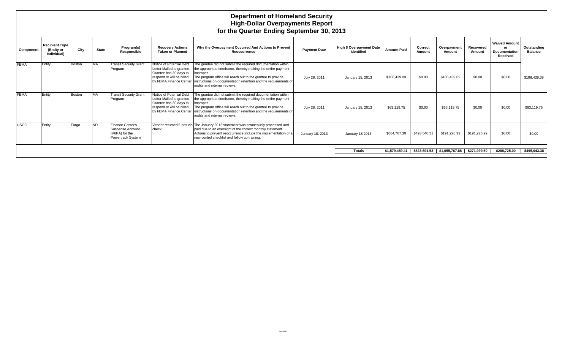|             |                                                    |        |              |                                                                             |                                                                                                                                         | <b>Department of Homeland Security</b><br><b>High-Dollar Overpayments Report</b><br>for the Quarter Ending September 30, 2013                                                                                                                                                                               |                     |                                                      |                    |                   |                             |                     |                                                                |                               |
|-------------|----------------------------------------------------|--------|--------------|-----------------------------------------------------------------------------|-----------------------------------------------------------------------------------------------------------------------------------------|-------------------------------------------------------------------------------------------------------------------------------------------------------------------------------------------------------------------------------------------------------------------------------------------------------------|---------------------|------------------------------------------------------|--------------------|-------------------|-----------------------------|---------------------|----------------------------------------------------------------|-------------------------------|
| Component   | <b>Recipient Type</b><br>(Entity or<br>Individual) | City   | <b>State</b> | Program(s)<br>Responsible                                                   | <b>Recovery Actions</b><br><b>Taken or Planned</b>                                                                                      | Why the Overpayment Occurred And Actions to Prevent<br>Reoccurrence                                                                                                                                                                                                                                         | <b>Payment Date</b> | <b>High \$ Overpayment Date</b><br><b>Identified</b> | <b>Amount Paid</b> | Correct<br>Amount | Overpayment<br>Amount       | Recovered<br>Amount | <b>Waived Amount</b><br>or<br><b>Documentation</b><br>Received | Outstanding<br><b>Balance</b> |
| <b>FEMA</b> | Entity                                             | Boston | <b>MA</b>    | <b>Transit Security Grant</b><br>Program                                    | Notice of Potential Debt<br>Letter Mailed to grantee.<br>Grantee has 30 days to<br>respond or will be billed<br>by FEMA Finance Center. | The grantee did not submit the required documentation within<br>the appropriate timeframe, thereby making the entire payment<br>mproper.<br>The program office will reach out to the grantee to provide<br>instructions on documentation retention and the requirements of<br>audits and internal reviews.  | July 26, 2011       | January 15, 2013                                     | \$106,439.09       | \$0.00            | \$106,439.09                | \$0.00              | \$0.00                                                         | \$106,439.09                  |
| <b>FEMA</b> | Entity                                             | Boston | <b>MA</b>    | <b>Transit Security Grant</b><br>Program                                    | Notice of Potential Debt<br>Letter Mailed to grantee.<br>Grantee has 30 days to<br>respond or will be billed<br>by FEMA Finance Center. | The grantee did not submit the required documentation within<br>the appropriate timeframe, thereby making the entire payment<br>improper.<br>The program office will reach out to the grantee to provide<br>instructions on documentation retention and the requirements of<br>audits and internal reviews. | July 26, 2011       | January 15, 2013                                     | \$63,119.75        | \$0.00            | \$63,119.75                 | \$0.00              | \$0.00                                                         | \$63,119.75                   |
| USCG        | Entity                                             | Fargo  | <b>ND</b>    | Finance Center's<br>Suspense Account<br>(V6PA) for the<br>Powertrack System | check                                                                                                                                   | Vendor returned funds via The January 2012 statement was erroneously processed and<br>paid due to an oversight of the correct monthly statement.<br>Actions to prevent reoccurrence include the implementation of a<br>new control checklist and follow up training.                                        | January 18, 2013    | January 18,2013                                      | \$684,767.30       | \$493,540.31      | \$191.226.99                | \$191,226.99        | \$0.00                                                         | \$0.00                        |
|             |                                                    |        |              |                                                                             |                                                                                                                                         |                                                                                                                                                                                                                                                                                                             |                     | <b>Totals</b>                                        | \$1,579,459.41     |                   | \$523,691.53 \$1,055,767.88 | \$271,999.50        | \$288,725.00                                                   | \$495,043.38                  |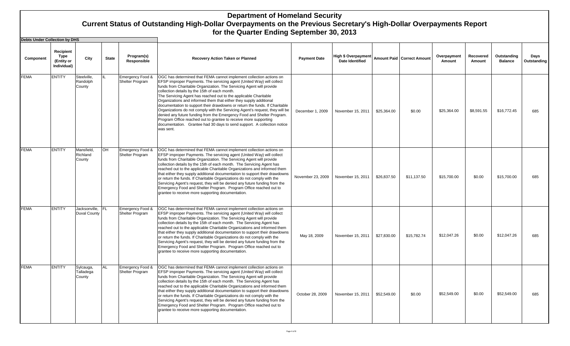**Debts Under Collection by DHS**

| Depres Quider Collection by DLO |                                                |                                   |              |                                     |                                                                                                                                                                                                                                                                                                                                                                                                                                                                                                                                                                                                                                                                                                                                                                                                                      |                     |                        |                                                    |                       |                     |                               |                     |
|---------------------------------|------------------------------------------------|-----------------------------------|--------------|-------------------------------------|----------------------------------------------------------------------------------------------------------------------------------------------------------------------------------------------------------------------------------------------------------------------------------------------------------------------------------------------------------------------------------------------------------------------------------------------------------------------------------------------------------------------------------------------------------------------------------------------------------------------------------------------------------------------------------------------------------------------------------------------------------------------------------------------------------------------|---------------------|------------------------|----------------------------------------------------|-----------------------|---------------------|-------------------------------|---------------------|
| Component                       | Recipient<br>Type<br>(Entity or<br>Individual) | City                              | <b>State</b> | Program(s)<br>Responsible           | <b>Recovery Action Taken or Planned</b>                                                                                                                                                                                                                                                                                                                                                                                                                                                                                                                                                                                                                                                                                                                                                                              | <b>Payment Date</b> | <b>Date Identified</b> | High \$ Overpayment   Amount Paid   Correct Amount | Overpayment<br>Amount | Recovered<br>Amount | Outstanding<br><b>Balance</b> | Days<br>Outstanding |
| <b>FEMA</b>                     | <b>ENTITY</b>                                  | Steelville,<br>Randolph<br>County | $\mathbf{H}$ | Emergency Food &<br>Shelter Program | OGC has determined that FEMA cannot implement collection actions on<br>EFSP improper Payments. The servicing agent (United Way) will collect<br>funds from Charitable Organization. The Servicing Agent will provide<br>collection details by the 15th of each month.<br>The Servicing Agent has reached out to the applicable Charitable<br>Organizations and informed them that either they supply additional<br>documentation to support their drawdowns or return the funds. If Charitable<br>Organizations do not comply with the Servicing Agent's request, they will be<br>denied any future funding from the Emergency Food and Shelter Program.<br>Program Office reached out to grantee to receive more supporting<br>documentation. Grantee had 30 days to send support. A collection notice<br>was sent. | December 1, 2009    | November 15, 2011      | \$25,364.00<br>\$0.00                              | \$25,364.00           | \$8.591.55          | \$16,772.45                   | 685                 |
| <b>FEMA</b>                     | <b>ENTITY</b>                                  | Mansfield,<br>Richland<br>County  | OH           | Emergency Food &<br>Shelter Program | OGC has determined that FEMA cannot implement collection actions on<br>EFSP improper Payments. The servicing agent (United Way) will collect<br>funds from Charitable Organization. The Servicing Agent will provide<br>collection details by the 15th of each month. The Servicing Agent has<br>reached out to the applicable Charitable Organizations and informed them<br>that either they supply additional documentation to support their drawdowns<br>or return the funds. If Charitable Organizations do not comply with the<br>Servicing Agent's request, they will be denied any future funding from the<br>Emergency Food and Shelter Program. Program Office reached out to<br>grantee to receive more supporting documentation.                                                                          | November 23, 2009   | November 15, 2011      | \$26.837.50<br>\$11.137.50                         | \$15,700.00           | \$0.00              | \$15,700.00                   | 685                 |
| <b>FEMA</b>                     | <b>ENTITY</b>                                  | Jacksonville,<br>Duval County     | <b>FL</b>    | Emergency Food &<br>Shelter Program | OGC has determined that FEMA cannot implement collection actions on<br>EFSP improper Payments. The servicing agent (United Way) will collect<br>funds from Charitable Organization. The Servicing Agent will provide<br>collection details by the 15th of each month. The Servicing Agent has<br>reached out to the applicable Charitable Organizations and informed them<br>that either they supply additional documentation to support their drawdowns<br>or return the funds. If Charitable Organizations do not comply with the<br>Servicing Agent's request, they will be denied any future funding from the<br>Emergency Food and Shelter Program. Program Office reached out to<br>grantee to receive more supporting documentation.                                                                          | May 18, 2009        | November 15, 2011      | \$27,830.00<br>\$15,782.74                         | \$12,047.26           | \$0.00              | \$12,047.26                   | 685                 |
| <b>FEMA</b>                     | <b>ENTITY</b>                                  | Sylcauga,<br>Talladega<br>County  | <b>AL</b>    | Emergency Food &<br>Shelter Program | OGC has determined that FEMA cannot implement collection actions on<br>EFSP improper Payments. The servicing agent (United Way) will collect<br>funds from Charitable Organization. The Servicing Agent will provide<br>collection details by the 15th of each month. The Servicing Agent has<br>reached out to the applicable Charitable Organizations and informed them<br>that either they supply additional documentation to support their drawdowns<br>or return the funds. If Charitable Organizations do not comply with the<br>Servicing Agent's request, they will be denied any future funding from the<br>Emergency Food and Shelter Program. Program Office reached out to<br>grantee to receive more supporting documentation.                                                                          | October 28, 2009    | November 15, 2011      | \$52,549.00<br>\$0.00                              | \$52,549.00           | \$0.00              | \$52,549.00                   | 685                 |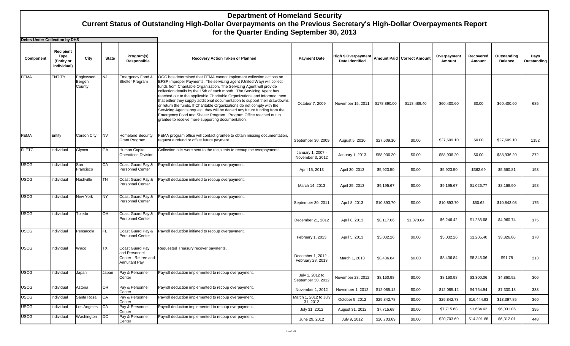| <b>Debts Under Collection by DHS</b> |                                                |                                |              |                                                                                         |                                                                                                                                                                                                                                                                                                                                                                                                                                                                                                                                                                                                                                                                                                                                             |                                         |                                        |              |                              |                       |                     |                               |                     |
|--------------------------------------|------------------------------------------------|--------------------------------|--------------|-----------------------------------------------------------------------------------------|---------------------------------------------------------------------------------------------------------------------------------------------------------------------------------------------------------------------------------------------------------------------------------------------------------------------------------------------------------------------------------------------------------------------------------------------------------------------------------------------------------------------------------------------------------------------------------------------------------------------------------------------------------------------------------------------------------------------------------------------|-----------------------------------------|----------------------------------------|--------------|------------------------------|-----------------------|---------------------|-------------------------------|---------------------|
| Component                            | Recipient<br>Type<br>(Entity or<br>Individual) | City                           | <b>State</b> | Program(s)<br>Responsible                                                               | <b>Recovery Action Taken or Planned</b>                                                                                                                                                                                                                                                                                                                                                                                                                                                                                                                                                                                                                                                                                                     | <b>Payment Date</b>                     | High \$ Overpayment<br>Date Identified |              | Amount Paid   Correct Amount | Overpayment<br>Amount | Recovered<br>Amount | Outstanding<br><b>Balance</b> | Days<br>Outstanding |
| <b>FEMA</b>                          | <b>ENTITY</b>                                  | Englewood,<br>Bergen<br>County | <b>NJ</b>    | Emergency Food &<br>Shelter Program                                                     | OGC has determined that FEMA cannot implement collection actions on<br>EFSP improper Payments. The servicing agent (United Way) will collect<br>funds from Charitable Organization. The Servicing Agent will provide<br>collection details by the 15th of each month. The Servicing Agent has<br>reached out to the applicable Charitable Organizations and informed them<br>that either they supply additional documentation to support their drawdowns<br>or return the funds. If Charitable Organizations do not comply with the<br>Servicing Agent's request, they will be denied any future funding from the<br>Emergency Food and Shelter Program. Program Office reached out to<br>grantee to receive more supporting documentation. | October 7, 2009                         | November 15, 2011                      | \$178,890.00 | \$118,489.40                 | \$60,400.60           | \$0.00              | \$60,400.60                   | 685                 |
| <b>FEMA</b>                          | Entity                                         | Carson City                    | <b>NV</b>    | <b>Homeland Security</b><br>Grant Program                                               | FEMA program office will contact grantee to obtain missing documentation,<br>request a refund or offset future payment                                                                                                                                                                                                                                                                                                                                                                                                                                                                                                                                                                                                                      | September 30, 2009                      | August 5, 2010                         | \$27,609.10  | \$0.00                       | \$27,609.10           | \$0.00              | \$27,609.10                   | 1152                |
| <b>FLETC</b>                         | Individual                                     | Glynco                         | GA           | Human Capital<br><b>Operations Division</b>                                             | Collection bills were sent to the recipients to recoup the overpayments.                                                                                                                                                                                                                                                                                                                                                                                                                                                                                                                                                                                                                                                                    | January 1, 2007 -<br>November 3, 2012   | January 1, 2013                        | \$88,936.20  | \$0.00                       | \$88,936.20           | \$0.00              | \$88,936.20                   | 272                 |
| <b>USCG</b>                          | Individual                                     | San<br>Francisco               | CA           | Coast Guard Pay &<br>Personnel Center                                                   | Payroll deduction initiated to recoup overpayment.                                                                                                                                                                                                                                                                                                                                                                                                                                                                                                                                                                                                                                                                                          | April 15, 2013                          | April 30, 2013                         | \$5,923.50   | \$0.00                       | \$5,923.50            | \$362.69            | \$5,560.81                    | 153                 |
| <b>USCG</b>                          | Individual                                     | Nashville                      | TN           | Coast Guard Pay &<br><b>Personnel Center</b>                                            | Payroll deduction initiated to recoup overpayment.                                                                                                                                                                                                                                                                                                                                                                                                                                                                                                                                                                                                                                                                                          | March 14, 2013                          | April 25, 2013                         | \$9,195.67   | \$0.00                       | \$9,195.67            | \$1,026.77          | \$8,168.90                    | 158                 |
| <b>USCG</b>                          | Individual                                     | New York                       | <b>NY</b>    | Coast Guard Pay &<br>Personnel Center                                                   | Payroll deduction initiated to recoup overpayment.                                                                                                                                                                                                                                                                                                                                                                                                                                                                                                                                                                                                                                                                                          | September 30, 2011                      | April 8, 2013                          | \$10,893.70  | \$0.00                       | \$10,893.70           | \$50.62             | \$10,843.08                   | 175                 |
| <b>USCG</b>                          | Individual                                     | Toledo                         | <b>OH</b>    | Coast Guard Pay &<br><b>Personnel Center</b>                                            | Payroll deduction initiated to recoup overpayment.                                                                                                                                                                                                                                                                                                                                                                                                                                                                                                                                                                                                                                                                                          | December 21, 2012                       | April 8, 2013                          | \$8,117.06   | \$1,870.64                   | \$6,246.42            | \$1,285.68          | \$4,960.74                    | 175                 |
| <b>USCG</b>                          | Individual                                     | Pensacola                      | FL           | Coast Guard Pay &<br><b>Personnel Center</b>                                            | Payroll deduction initiated to recoup overpayment.                                                                                                                                                                                                                                                                                                                                                                                                                                                                                                                                                                                                                                                                                          | February 1, 2013                        | April 5, 2013                          | \$5,032.26   | \$0.00                       | \$5,032.26            | \$1,205.40          | \$3,826.86                    | 178                 |
| <b>USCG</b>                          | Individual                                     | Waco                           | <b>TX</b>    | <b>Coast Guard Pay</b><br>and Personnel<br>Center - Retiree and<br><b>Annuitant Pay</b> | Requested Treasury recover payments.                                                                                                                                                                                                                                                                                                                                                                                                                                                                                                                                                                                                                                                                                                        | December 1, 2012 -<br>February 28, 2013 | March 1, 2013                          | \$8,436.84   | \$0.00                       | \$8,436.84            | \$8,345.06          | \$91.78                       | 213                 |
| <b>USCG</b>                          | Individual                                     | Japan                          | Japan        | Pay & Personnel<br>Center                                                               | Payroll deduction implemented to recoup overpayment.                                                                                                                                                                                                                                                                                                                                                                                                                                                                                                                                                                                                                                                                                        | July 1, 2012 to<br>September 30, 2012   | November 28, 2012                      | \$8,160.98   | \$0.00                       | \$8,160.98            | \$3,300.06          | \$4,860.92                    | 306                 |
| <b>USCG</b>                          | Individual                                     | Astoria                        | <b>OR</b>    | Pay & Personnel<br>Center                                                               | Payroll deduction implemented to recoup overpayment.                                                                                                                                                                                                                                                                                                                                                                                                                                                                                                                                                                                                                                                                                        | November 1, 2012                        | November 1, 2012                       | \$12,085.12  | \$0.00                       | \$12,085.12           | \$4,754.94          | \$7,330.18                    | 333                 |
| USCG                                 | Individual                                     | Santa Rosa                     | <b>CA</b>    | Pay & Personnel<br>Center                                                               | Payroll deduction implemented to recoup overpayment.                                                                                                                                                                                                                                                                                                                                                                                                                                                                                                                                                                                                                                                                                        | March 1, 2012 to July<br>31, 2012       | October 5, 2012                        | \$29,842.78  | \$0.00                       | \$29,842.78           | \$16,444.93         | \$13,397.85                   | 360                 |
| USCG                                 | Individual                                     | Los Angeles                    | <b>CA</b>    | Pay & Personnel<br>Center                                                               | Payroll deduction implemented to recoup overpayment.                                                                                                                                                                                                                                                                                                                                                                                                                                                                                                                                                                                                                                                                                        | July 31, 2012                           | August 31, 2012                        | \$7.715.68   | \$0.00                       | \$7,715.68            | \$1,684.62          | \$6,031.06                    | 395                 |
| <b>USCG</b>                          | Individual                                     | Washington                     | DC           | Pay & Personnel<br>Center                                                               | Payroll deduction implemented to recoup overpayment.                                                                                                                                                                                                                                                                                                                                                                                                                                                                                                                                                                                                                                                                                        | June 29, 2012                           | July 9, 2012                           | \$20,703.69  | \$0.00                       | \$20,703.69           | \$14,391.68         | \$6,312.01                    | 448                 |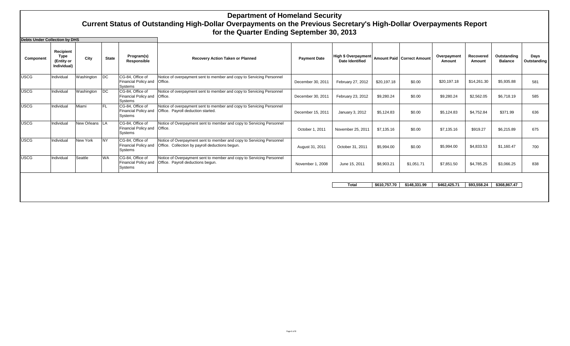**Debts Under Collection by DHS**

| Depts Under Collection by DHS |                                                       |                  |              |                                                            |                                                                                                                         |                     |                                               |              |                              |                       |                     |                               |                     |
|-------------------------------|-------------------------------------------------------|------------------|--------------|------------------------------------------------------------|-------------------------------------------------------------------------------------------------------------------------|---------------------|-----------------------------------------------|--------------|------------------------------|-----------------------|---------------------|-------------------------------|---------------------|
| Component                     | Recipient<br><b>Type</b><br>(Entity or<br>Individual) | City             | <b>State</b> | Program(s)<br>Responsible                                  | <b>Recovery Action Taken or Planned</b>                                                                                 | <b>Payment Date</b> | High \$ Overpayment<br><b>Date Identified</b> |              | Amount Paid   Correct Amount | Overpayment<br>Amount | Recovered<br>Amount | Outstanding<br><b>Balance</b> | Days<br>Outstanding |
| <b>USCG</b>                   | Individual                                            | Washington       | DC           | CG-84, Office of<br>Financial Policy and<br>Systems        | Notice of overpayment sent to member and copy to Servicing Personnel<br>Office.                                         | December 30, 2011   | February 27, 2012                             | \$20,197.18  | \$0.00                       | \$20,197.18           | \$14,261.30         | \$5,935.88                    | 581                 |
| <b>USCG</b>                   | Individual                                            | Washington       | DC           | CG-84. Office of<br>Financial Policy and<br>Systems        | Notice of overpayment sent to member and copy to Servicing Personnel<br>Office.                                         | December 30, 2011   | February 23, 2012                             | \$9,280.24   | \$0.00                       | \$9,280.24            | \$2,562.05          | \$6,718.19                    | 585                 |
| <b>USCG</b>                   | Individual                                            | Miami            | FL           | CG-84. Office of<br><b>Financial Policy and</b><br>Systems | Notice of overpayment sent to member and copy to Servicing Personnel<br>Office. Payroll deduction started.              | December 15, 2011   | January 3, 2012                               | \$5.124.83   | \$0.00                       | \$5,124.83            | \$4,752.84          | \$371.99                      | 636                 |
| <b>USCG</b>                   | Individual                                            | New Orleans   LA |              | CG-84, Office of<br>Financial Policy and<br>Systems        | Notice of Overpayment sent to member and copy to Servicing Personnel<br>Office.                                         | October 1, 2011     | November 25, 2011                             | \$7.135.16   | \$0.00                       | \$7,135.16            | \$919.27            | \$6,215.89                    | 675                 |
| <b>USCG</b>                   | Individual                                            | New York         | <b>NY</b>    | CG-84, Office of<br><b>Financial Policy and</b><br>Systems | Notice of Overpayment sent to member and copy to Servicing Personnel<br>Office. Collection by payroll deductions begun. | August 31, 2011     | October 31, 2011                              | \$5,994.00   | \$0.00                       | \$5,994.00            | \$4,833.53          | \$1,160.47                    | 700                 |
| <b>USCG</b>                   | Individual                                            | Seattle          | <b>WA</b>    | CG-84, Office of<br><b>Financial Policy and</b><br>Systems | Notice of Overpayment sent to member and copy to Servicing Personnel<br>Office. Payroll deductions begun.               | November 1, 2008    | June 15, 2011                                 | \$8,903.21   | \$1,051.71                   | \$7,851.50            | \$4,785.25          | \$3,066.25                    | 838                 |
|                               |                                                       |                  |              |                                                            |                                                                                                                         |                     |                                               |              |                              |                       |                     |                               |                     |
|                               |                                                       |                  |              |                                                            |                                                                                                                         |                     | <b>Total</b>                                  | \$610,757.70 | \$148,331,99                 | \$462,425.71          | \$93,558,24         | \$368.867.47                  |                     |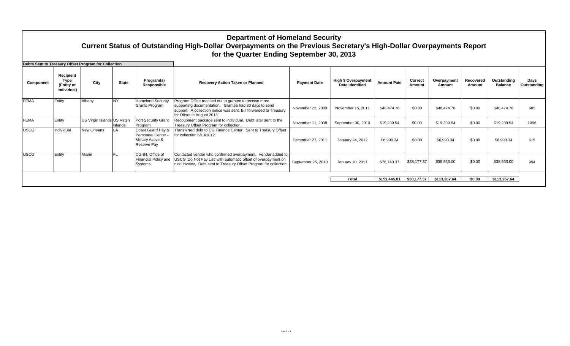|             |                                                | Debts Sent to Treasury Offset Program for Collection |              |                                                                             |                                                                                                                                                                                                                  |                     |                                                      |                    |                   |                       |                     |                               |                     |
|-------------|------------------------------------------------|------------------------------------------------------|--------------|-----------------------------------------------------------------------------|------------------------------------------------------------------------------------------------------------------------------------------------------------------------------------------------------------------|---------------------|------------------------------------------------------|--------------------|-------------------|-----------------------|---------------------|-------------------------------|---------------------|
| Component   | Recipient<br>Type<br>(Entity or<br>Individual) | City                                                 | <b>State</b> | Program(s)<br>Responsible                                                   | <b>Recovery Action Taken or Planned</b>                                                                                                                                                                          | <b>Payment Date</b> | <b>High \$ Overpayment</b><br><b>Date Identified</b> | <b>Amount Paid</b> | Correct<br>Amount | Overpayment<br>Amount | Recovered<br>Amount | Outstanding<br><b>Balance</b> | Days<br>Outstanding |
| <b>FEMA</b> | Entity                                         | Albany                                               | <b>NY</b>    | <b>Homeland Security</b><br>Grants Program                                  | Program Office reached out to grantee to receive more<br>supporting documentation. Grantee had 30 days to send<br>support. A collection notice was sent. Bill forwarded to Treasury<br>for Offset in August 2013 | November 23, 2009   | November 15, 2011                                    | \$48,474.76        | \$0.00            | \$48,474.76           | \$0.00              | \$48,474.76                   | 685                 |
| <b>FEMA</b> | Entity                                         | US Virgin Islands US Virgin                          | Islands      | <b>Port Security Grant</b><br>Program                                       | Recoupment package sent to individual. Debt later sent to the<br>Treasury Offset Program for collection.                                                                                                         | November 11, 2008   | September 30, 2010                                   | \$19,239.54        | \$0.00            | \$19,239.54           | \$0.00              | \$19,239.54                   | 1096                |
| <b>USCG</b> | Individual                                     | New Orleans                                          | LA           | Coast Guard Pay &<br>Personnel Center -<br>Military Active &<br>Reserve Pay | Transferred debt to CG Finance Center. Sent to Treasury Offset<br>for collection 6/13/2012.                                                                                                                      | December 27, 2011   | January 24, 2012                                     | \$6,990.34         | \$0.00            | \$6,990.34            | \$0.00              | \$6,990.34                    | 615                 |
| <b>USCG</b> | Entity                                         | Miami                                                | <b>FL</b>    | CG-84, Office of<br>Financial Policy and<br>Systems                         | Contacted vendor who confirmed overpayment. Vendor added to<br>USCG 'Do Not Pay List' with automatic offset of overpayment on<br>next invoice. Debt sent to Treasury Offset Program for collection               | September 25, 2010  | January 10, 2011                                     | \$76,740.37        | \$38,177.37       | \$38,563.00           | \$0.00              | \$38,563.00                   | 994                 |
|             |                                                |                                                      |              |                                                                             |                                                                                                                                                                                                                  |                     | <b>Total</b>                                         | \$151,445.01       | \$38,177.37       | \$113,267.64          | \$0.00              | \$113,267.64                  |                     |